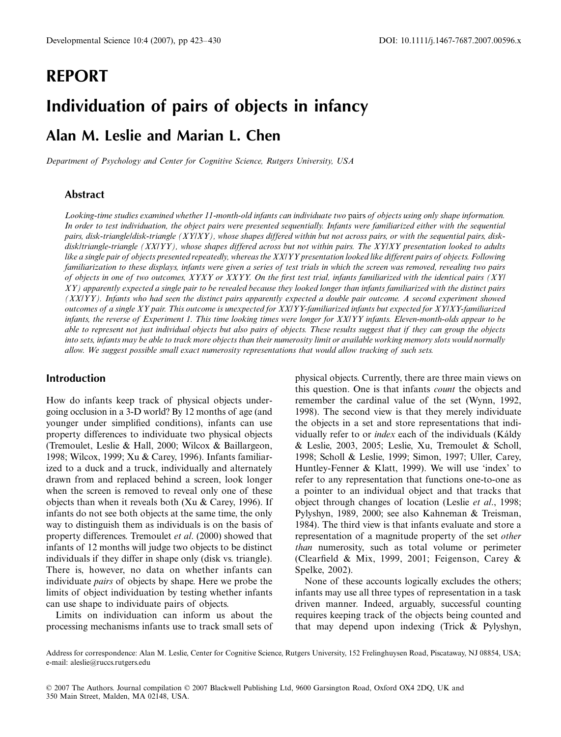# **REPORT**

# Individuation of pairs of objects in infancy **Alan M. Leslie and Marian L. Chen**

*Department of Psychology and Center for Cognitive Science, Rutgers University, USA*

# **Abstract**

*Looking-time studies examined whether 11-month-old infants can individuate two* pairs *of objects using only shape information. In order to test individuation, the object pairs were presented sequentially. Infants were familiarized either with the sequential pairs, disk-triangle/disk-triangle (XY/XY), whose shapes differed within but not across pairs, or with the sequential pairs, diskdisk/triangle-triangle (XX/YY), whose shapes differed across but not within pairs. The XY/XY presentation looked to adults like a single pair of objects presented repeatedly, whereas the XX/YY presentation looked like different pairs of objects. Following familiarization to these displays, infants were given a series of test trials in which the screen was removed, revealing two pairs of objects in one of two outcomes, XYXY or XXYY. On the first test trial, infants familiarized with the identical pairs (XY/ XY) apparently expected a single pair to be revealed because they looked longer than infants familiarized with the distinct pairs (XX/YY). Infants who had seen the distinct pairs apparently expected a double pair outcome. A second experiment showed outcomes of a single XY pair. This outcome is unexpected for XX/YY-familiarized infants but expected for XY/XY-familiarized infants, the reverse of Experiment 1. This time looking times were longer for XX/YY infants. Eleven-month-olds appear to be able to represent not just individual objects but also pairs of objects. These results suggest that if they can group the objects into sets, infants may be able to track more objects than their numerosity limit or available working memory slots would normally allow. We suggest possible small exact numerosity representations that would allow tracking of such sets.*

## **Introduction**

How do infants keep track of physical objects undergoing occlusion in a 3-D world? By 12 months of age (and younger under simplified conditions), infants can use property differences to individuate two physical objects (Tremoulet, Leslie & Hall, 2000; Wilcox & Baillargeon, 1998; Wilcox, 1999; Xu & Carey, 1996). Infants familiarized to a duck and a truck, individually and alternately drawn from and replaced behind a screen, look longer when the screen is removed to reveal only one of these objects than when it reveals both (Xu & Carey, 1996). If infants do not see both objects at the same time, the only way to distinguish them as individuals is on the basis of property differences. Tremoulet *et al*. (2000) showed that infants of 12 months will judge two objects to be distinct individuals if they differ in shape only (disk vs. triangle). There is, however, no data on whether infants can individuate *pairs* of objects by shape. Here we probe the limits of object individuation by testing whether infants can use shape to individuate pairs of objects.

Limits on individuation can inform us about the processing mechanisms infants use to track small sets of

physical objects. Currently, there are three main views on this question. One is that infants *count* the objects and remember the cardinal value of the set (Wynn, 1992, 1998). The second view is that they merely individuate the objects in a set and store representations that individually refer to or *index* each of the individuals (Káldy & Leslie, 2003, 2005; Leslie, Xu, Tremoulet & Scholl, 1998; Scholl & Leslie, 1999; Simon, 1997; Uller, Carey, Huntley-Fenner & Klatt, 1999). We will use 'index' to refer to any representation that functions one-to-one as a pointer to an individual object and that tracks that object through changes of location (Leslie *et al*., 1998; Pylyshyn, 1989, 2000; see also Kahneman & Treisman, 1984). The third view is that infants evaluate and store a representation of a magnitude property of the set *other than* numerosity, such as total volume or perimeter (Clearfield & Mix, 1999, 2001; Feigenson, Carey & Spelke, 2002).

None of these accounts logically excludes the others; infants may use all three types of representation in a task driven manner. Indeed, arguably, successful counting requires keeping track of the objects being counted and that may depend upon indexing (Trick & Pylyshyn,

Address for correspondence: Alan M. Leslie, Center for Cognitive Science, Rutgers University, 152 Frelinghuysen Road, Piscataway, NJ 08854, USA; e-mail: aleslie@ruccs.rutgers.edu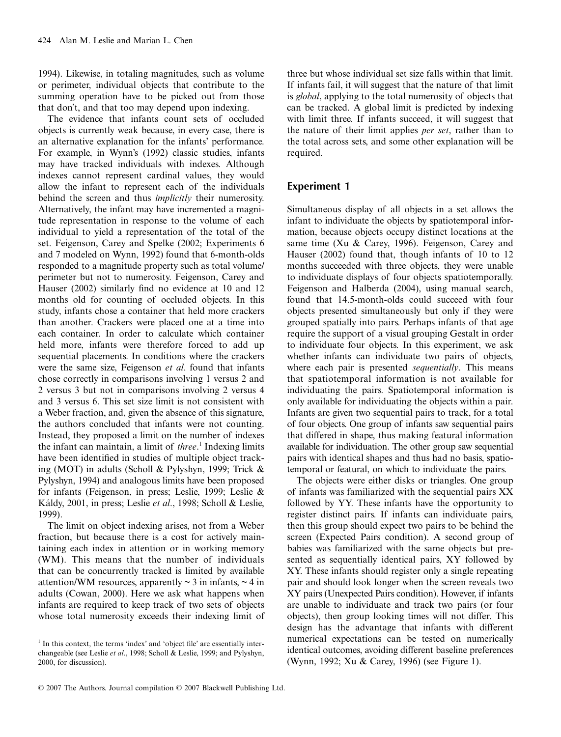1994). Likewise, in totaling magnitudes, such as volume or perimeter, individual objects that contribute to the summing operation have to be picked out from those that don't, and that too may depend upon indexing.

The evidence that infants count sets of occluded objects is currently weak because, in every case, there is an alternative explanation for the infants' performance. For example, in Wynn's (1992) classic studies, infants may have tracked individuals with indexes. Although indexes cannot represent cardinal values, they would allow the infant to represent each of the individuals behind the screen and thus *implicitly* their numerosity. Alternatively, the infant may have incremented a magnitude representation in response to the volume of each individual to yield a representation of the total of the set. Feigenson, Carey and Spelke (2002; Experiments 6 and 7 modeled on Wynn, 1992) found that 6-month-olds responded to a magnitude property such as total volume/ perimeter but not to numerosity. Feigenson, Carey and Hauser (2002) similarly find no evidence at 10 and 12 months old for counting of occluded objects. In this study, infants chose a container that held more crackers than another. Crackers were placed one at a time into each container. In order to calculate which container held more, infants were therefore forced to add up sequential placements. In conditions where the crackers were the same size, Feigenson *et al*. found that infants chose correctly in comparisons involving 1 versus 2 and 2 versus 3 but not in comparisons involving 2 versus 4 and 3 versus 6. This set size limit is not consistent with a Weber fraction, and, given the absence of this signature, the authors concluded that infants were not counting. Instead, they proposed a limit on the number of indexes the infant can maintain, a limit of *three*. 1 Indexing limits have been identified in studies of multiple object tracking (MOT) in adults (Scholl & Pylyshyn, 1999; Trick & Pylyshyn, 1994) and analogous limits have been proposed for infants (Feigenson, in press; Leslie, 1999; Leslie & Káldy, 2001, in press; Leslie *et al*., 1998; Scholl & Leslie, 1999).

The limit on object indexing arises, not from a Weber fraction, but because there is a cost for actively maintaining each index in attention or in working memory (WM). This means that the number of individuals that can be concurrently tracked is limited by available attention/WM resources, apparently  $\sim$  3 in infants,  $\sim$  4 in adults (Cowan, 2000). Here we ask what happens when infants are required to keep track of two sets of objects whose total numerosity exceeds their indexing limit of

three but whose individual set size falls within that limit. If infants fail, it will suggest that the nature of that limit is *global*, applying to the total numerosity of objects that can be tracked. A global limit is predicted by indexing with limit three. If infants succeed, it will suggest that the nature of their limit applies *per set*, rather than to the total across sets, and some other explanation will be required.

#### **Experiment 1**

Simultaneous display of all objects in a set allows the infant to individuate the objects by spatiotemporal information, because objects occupy distinct locations at the same time (Xu & Carey, 1996). Feigenson, Carey and Hauser (2002) found that, though infants of 10 to 12 months succeeded with three objects, they were unable to individuate displays of four objects spatiotemporally. Feigenson and Halberda (2004), using manual search, found that 14.5-month-olds could succeed with four objects presented simultaneously but only if they were grouped spatially into pairs. Perhaps infants of that age require the support of a visual grouping Gestalt in order to individuate four objects. In this experiment, we ask whether infants can individuate two pairs of objects, where each pair is presented *sequentially*. This means that spatiotemporal information is not available for individuating the pairs. Spatiotemporal information is only available for individuating the objects within a pair. Infants are given two sequential pairs to track, for a total of four objects. One group of infants saw sequential pairs that differed in shape, thus making featural information available for individuation. The other group saw sequential pairs with identical shapes and thus had no basis, spatiotemporal or featural, on which to individuate the pairs.

The objects were either disks or triangles. One group of infants was familiarized with the sequential pairs XX followed by YY. These infants have the opportunity to register distinct pairs. If infants can individuate pairs, then this group should expect two pairs to be behind the screen (Expected Pairs condition). A second group of babies was familiarized with the same objects but presented as sequentially identical pairs, XY followed by XY. These infants should register only a single repeating pair and should look longer when the screen reveals two XY pairs (Unexpected Pairs condition). However, if infants are unable to individuate and track two pairs (or four objects), then group looking times will not differ. This design has the advantage that infants with different numerical expectations can be tested on numerically identical outcomes, avoiding different baseline preferences (Wynn, 1992; Xu & Carey, 1996) (see Figure 1).

<sup>&</sup>lt;sup>1</sup> In this context, the terms 'index' and 'object file' are essentially interchangeable (see Leslie *et al*., 1998; Scholl & Leslie, 1999; and Pylyshyn, 2000, for discussion).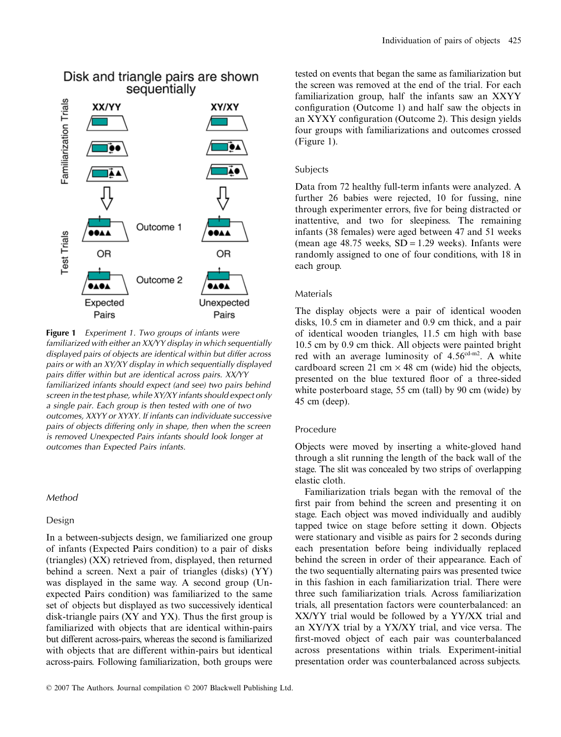

**Figure 1** *Experiment 1. Two groups of infants were familiarized with either an XX/YY display in which sequentially displayed pairs of objects are identical within but differ across pairs or with an XY/XY display in which sequentially displayed pairs differ within but are identical across pairs. XX/YY familiarized infants should expect (and see) two pairs behind screen in the test phase, while XY/XY infants should expect only a single pair. Each group is then tested with one of two outcomes, XXYY or XYXY. If infants can individuate successive pairs of objects differing only in shape, then when the screen is removed Unexpected Pairs infants should look longer at outcomes than Expected Pairs infants.*

#### *Method*

#### Design

In a between-subjects design, we familiarized one group of infants (Expected Pairs condition) to a pair of disks (triangles) (XX) retrieved from, displayed, then returned behind a screen. Next a pair of triangles (disks) (YY) was displayed in the same way. A second group (Unexpected Pairs condition) was familiarized to the same set of objects but displayed as two successively identical disk-triangle pairs (XY and YX). Thus the first group is familiarized with objects that are identical within-pairs but different across-pairs, whereas the second is familiarized with objects that are different within-pairs but identical across-pairs. Following familiarization, both groups were

tested on events that began the same as familiarization but the screen was removed at the end of the trial. For each familiarization group, half the infants saw an XXYY configuration (Outcome 1) and half saw the objects in an XYXY configuration (Outcome 2). This design yields four groups with familiarizations and outcomes crossed (Figure 1).

#### Subjects

Data from 72 healthy full-term infants were analyzed. A further 26 babies were rejected, 10 for fussing, nine through experimenter errors, five for being distracted or inattentive, and two for sleepiness. The remaining infants (38 females) were aged between 47 and 51 weeks (mean age  $48.75$  weeks,  $SD = 1.29$  weeks). Infants were randomly assigned to one of four conditions, with 18 in each group.

#### Materials

The display objects were a pair of identical wooden disks, 10.5 cm in diameter and 0.9 cm thick, and a pair of identical wooden triangles, 11.5 cm high with base 10.5 cm by 0.9 cm thick. All objects were painted bright red with an average luminosity of 4.56<sup>cd-m2</sup>. A white cardboard screen 21 cm  $\times$  48 cm (wide) hid the objects, presented on the blue textured floor of a three-sided white posterboard stage, 55 cm (tall) by 90 cm (wide) by 45 cm (deep).

#### Procedure

Objects were moved by inserting a white-gloved hand through a slit running the length of the back wall of the stage. The slit was concealed by two strips of overlapping elastic cloth.

Familiarization trials began with the removal of the first pair from behind the screen and presenting it on stage. Each object was moved individually and audibly tapped twice on stage before setting it down. Objects were stationary and visible as pairs for 2 seconds during each presentation before being individually replaced behind the screen in order of their appearance. Each of the two sequentially alternating pairs was presented twice in this fashion in each familiarization trial. There were three such familiarization trials. Across familiarization trials, all presentation factors were counterbalanced: an XX/YY trial would be followed by a YY/XX trial and an XY/YX trial by a YX/XY trial, and vice versa. The first-moved object of each pair was counterbalanced across presentations within trials. Experiment-initial presentation order was counterbalanced across subjects.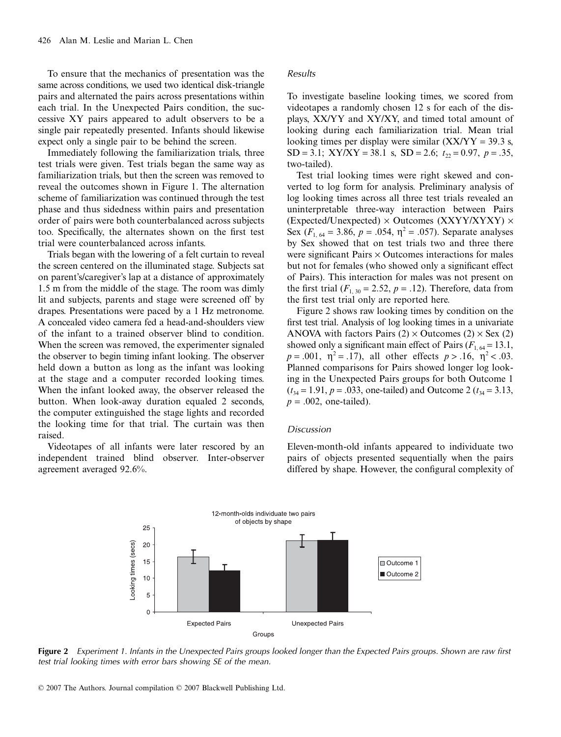To ensure that the mechanics of presentation was the same across conditions, we used two identical disk-triangle pairs and alternated the pairs across presentations within each trial. In the Unexpected Pairs condition, the successive XY pairs appeared to adult observers to be a single pair repeatedly presented. Infants should likewise expect only a single pair to be behind the screen.

Immediately following the familiarization trials, three test trials were given. Test trials began the same way as familiarization trials, but then the screen was removed to reveal the outcomes shown in Figure 1. The alternation scheme of familiarization was continued through the test phase and thus sidedness within pairs and presentation order of pairs were both counterbalanced across subjects too. Specifically, the alternates shown on the first test trial were counterbalanced across infants.

Trials began with the lowering of a felt curtain to reveal the screen centered on the illuminated stage. Subjects sat on parent's/caregiver's lap at a distance of approximately 1.5 m from the middle of the stage. The room was dimly lit and subjects, parents and stage were screened off by drapes. Presentations were paced by a 1 Hz metronome. A concealed video camera fed a head-and-shoulders view of the infant to a trained observer blind to condition. When the screen was removed, the experimenter signaled the observer to begin timing infant looking. The observer held down a button as long as the infant was looking at the stage and a computer recorded looking times. When the infant looked away, the observer released the button. When look-away duration equaled 2 seconds, the computer extinguished the stage lights and recorded the looking time for that trial. The curtain was then raised.

Videotapes of all infants were later rescored by an independent trained blind observer. Inter-observer agreement averaged 92.6%.

#### *Results*

To investigate baseline looking times, we scored from videotapes a randomly chosen 12 s for each of the displays, XX/YY and XY/XY, and timed total amount of looking during each familiarization trial. Mean trial looking times per display were similar  $(XX/YY = 39.3 s,$  $SD = 3.1$ ;  $XY/XY = 38.1$  s,  $SD = 2.6$ ;  $t_{22} = 0.97$ ,  $p = .35$ , two-tailed).

Test trial looking times were right skewed and converted to log form for analysis. Preliminary analysis of log looking times across all three test trials revealed an uninterpretable three-way interaction between Pairs (Expected/Unexpected)  $\times$  Outcomes (XXYY/XYXY)  $\times$ Sex  $(F_{1, 64} = 3.86, p = .054, \eta^2 = .057)$ . Separate analyses by Sex showed that on test trials two and three there were significant Pairs  $\times$  Outcomes interactions for males but not for females (who showed only a significant effect of Pairs). This interaction for males was not present on the first trial  $(F_{1,30} = 2.52, p = .12)$ . Therefore, data from the first test trial only are reported here.

Figure 2 shows raw looking times by condition on the first test trial. Analysis of log looking times in a univariate ANOVA with factors Pairs  $(2) \times$  Outcomes  $(2) \times$  Sex  $(2)$ showed only a significant main effect of Pairs  $(F_{1, 64} = 13.1,$  $p = .001$ ,  $\eta^2 = .17$ ), all other effects  $p > .16$ ,  $\eta^2 < .03$ . Planned comparisons for Pairs showed longer log looking in the Unexpected Pairs groups for both Outcome 1  $(t_{34} = 1.91, p = .033, \text{ one-tailed})$  and Outcome 2  $(t_{34} = 3.13,$  $p = .002$ , one-tailed).

#### *Discussion*

Eleven-month-old infants appeared to individuate two pairs of objects presented sequentially when the pairs differed by shape. However, the configural complexity of



**Figure 2** *Experiment 1. Infants in the Unexpected Pairs groups looked longer than the Expected Pairs groups. Shown are raw first test trial looking times with error bars showing SE of the mean.*

© 2007 The Authors. Journal compilation © 2007 Blackwell Publishing Ltd.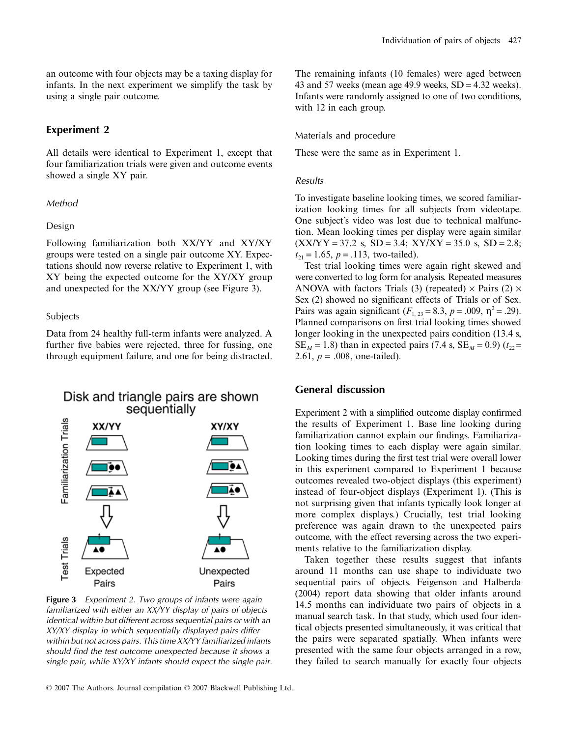an outcome with four objects may be a taxing display for infants. In the next experiment we simplify the task by using a single pair outcome.

# **Experiment 2**

All details were identical to Experiment 1, except that four familiarization trials were given and outcome events showed a single XY pair.

#### *Method*

#### Design

Following familiarization both XX/YY and XY/XY groups were tested on a single pair outcome XY. Expectations should now reverse relative to Experiment 1, with XY being the expected outcome for the XY/XY group and unexpected for the XX/YY group (see Figure 3).

#### Subjects

Data from 24 healthy full-term infants were analyzed. A further five babies were rejected, three for fussing, one through equipment failure, and one for being distracted.



**Figure 3** *Experiment 2. Two groups of infants were again familiarized with either an XX/YY display of pairs of objects identical within but different across sequential pairs or with an XY/XY display in which sequentially displayed pairs differ within but not across pairs. This time XX/YY familiarized infants should find the test outcome unexpected because it shows a single pair, while XY/XY infants should expect the single pair.*

The remaining infants (10 females) were aged between 43 and 57 weeks (mean age 49.9 weeks,  $SD = 4.32$  weeks). Infants were randomly assigned to one of two conditions, with 12 in each group.

#### Materials and procedure

These were the same as in Experiment 1.

#### *Results*

To investigate baseline looking times, we scored familiarization looking times for all subjects from videotape. One subject's video was lost due to technical malfunction. Mean looking times per display were again similar  $(XX/YY = 37.2 \text{ s}, SD = 3.4; XY/XY = 35.0 \text{ s}, SD = 2.8;$  $t_{21} = 1.65$ ,  $p = .113$ , two-tailed).

Test trial looking times were again right skewed and were converted to log form for analysis. Repeated measures ANOVA with factors Trials (3) (repeated)  $\times$  Pairs (2)  $\times$ Sex (2) showed no significant effects of Trials or of Sex. Pairs was again significant  $(F_{1, 23} = 8.3, p = .009, \eta^2 = .29)$ . Planned comparisons on first trial looking times showed longer looking in the unexpected pairs condition (13.4 s,  $SE_M = 1.8$ ) than in expected pairs (7.4 s,  $SE_M = 0.9$ ) ( $t_{22} =$ 2.61,  $p = .008$ , one-tailed).

# **General discussion**

Experiment 2 with a simplified outcome display confirmed the results of Experiment 1. Base line looking during familiarization cannot explain our findings. Familiarization looking times to each display were again similar. Looking times during the first test trial were overall lower in this experiment compared to Experiment 1 because outcomes revealed two-object displays (this experiment) instead of four-object displays (Experiment 1). (This is not surprising given that infants typically look longer at more complex displays.) Crucially, test trial looking preference was again drawn to the unexpected pairs outcome, with the effect reversing across the two experiments relative to the familiarization display.

Taken together these results suggest that infants around 11 months can use shape to individuate two sequential pairs of objects. Feigenson and Halberda (2004) report data showing that older infants around 14.5 months can individuate two pairs of objects in a manual search task. In that study, which used four identical objects presented simultaneously, it was critical that the pairs were separated spatially. When infants were presented with the same four objects arranged in a row, they failed to search manually for exactly four objects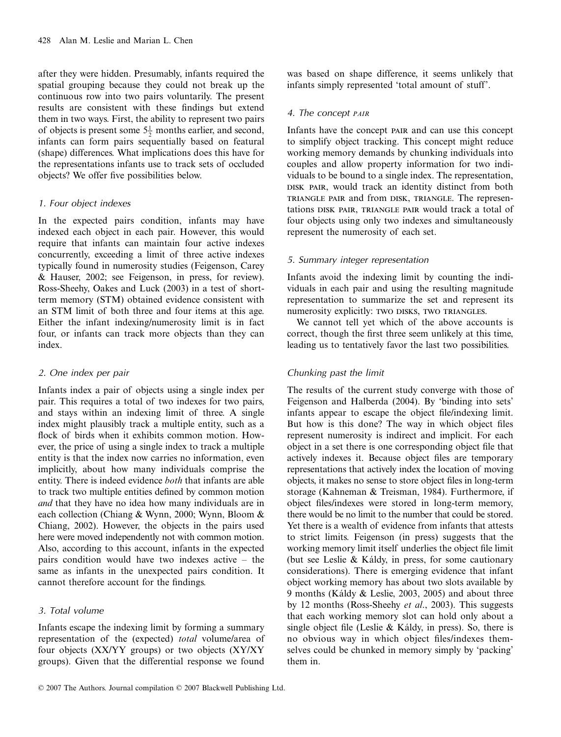after they were hidden. Presumably, infants required the spatial grouping because they could not break up the continuous row into two pairs voluntarily. The present results are consistent with these findings but extend them in two ways. First, the ability to represent two pairs of objects is present some  $5\frac{1}{2}$  months earlier, and second, infants can form pairs sequentially based on featural (shape) differences. What implications does this have for the representations infants use to track sets of occluded objects? We offer five possibilities below.

#### *1. Four object indexes*

In the expected pairs condition, infants may have indexed each object in each pair. However, this would require that infants can maintain four active indexes concurrently, exceeding a limit of three active indexes typically found in numerosity studies (Feigenson, Carey & Hauser, 2002; see Feigenson, in press, for review). Ross-Sheehy, Oakes and Luck (2003) in a test of shortterm memory (STM) obtained evidence consistent with an STM limit of both three and four items at this age. Either the infant indexing/numerosity limit is in fact four, or infants can track more objects than they can index.

#### *2. One index per pair*

Infants index a pair of objects using a single index per pair. This requires a total of two indexes for two pairs, and stays within an indexing limit of three. A single index might plausibly track a multiple entity, such as a flock of birds when it exhibits common motion. However, the price of using a single index to track a multiple entity is that the index now carries no information, even implicitly, about how many individuals comprise the entity. There is indeed evidence *both* that infants are able to track two multiple entities defined by common motion *and* that they have no idea how many individuals are in each collection (Chiang & Wynn, 2000; Wynn, Bloom & Chiang, 2002). However, the objects in the pairs used here were moved independently not with common motion. Also, according to this account, infants in the expected pairs condition would have two indexes active – the same as infants in the unexpected pairs condition. It cannot therefore account for the findings.

#### *3. Total volume*

Infants escape the indexing limit by forming a summary representation of the (expected) *total* volume/area of four objects (XX/YY groups) or two objects (XY/XY groups). Given that the differential response we found was based on shape difference, it seems unlikely that infants simply represented 'total amount of stuff'.

#### *4. The concept PAIR*

Infants have the concept pair and can use this concept to simplify object tracking. This concept might reduce working memory demands by chunking individuals into couples and allow property information for two individuals to be bound to a single index. The representation, DISK PAIR, would track an identity distinct from both triangle pair and from disk, triangle. The representations disk pair, triangle pair would track a total of four objects using only two indexes and simultaneously represent the numerosity of each set.

#### *5. Summary integer representation*

Infants avoid the indexing limit by counting the individuals in each pair and using the resulting magnitude representation to summarize the set and represent its numerosity explicitly: two DISKS, two TRIANGLES.

We cannot tell yet which of the above accounts is correct, though the first three seem unlikely at this time, leading us to tentatively favor the last two possibilities.

#### *Chunking past the limit*

The results of the current study converge with those of Feigenson and Halberda (2004). By 'binding into sets' infants appear to escape the object file/indexing limit. But how is this done? The way in which object files represent numerosity is indirect and implicit. For each object in a set there is one corresponding object file that actively indexes it. Because object files are temporary representations that actively index the location of moving objects, it makes no sense to store object files in long-term storage (Kahneman & Treisman, 1984). Furthermore, if object files/indexes were stored in long-term memory, there would be no limit to the number that could be stored. Yet there is a wealth of evidence from infants that attests to strict limits. Feigenson (in press) suggests that the working memory limit itself underlies the object file limit (but see Leslie & Káldy, in press, for some cautionary considerations). There is emerging evidence that infant object working memory has about two slots available by 9 months (Káldy & Leslie, 2003, 2005) and about three by 12 months (Ross-Sheehy *et al*., 2003). This suggests that each working memory slot can hold only about a single object file (Leslie & Káldy, in press). So, there is no obvious way in which object files/indexes themselves could be chunked in memory simply by 'packing' them in.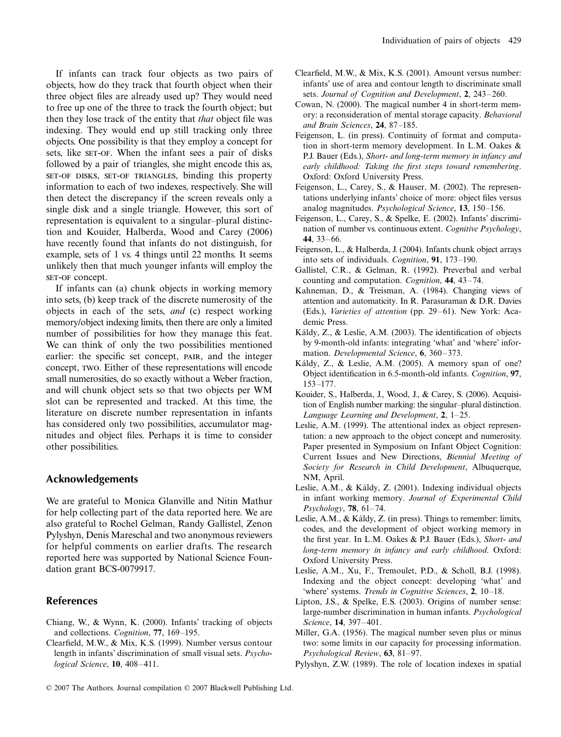If infants can track four objects as two pairs of objects, how do they track that fourth object when their three object files are already used up? They would need to free up one of the three to track the fourth object; but then they lose track of the entity that *that* object file was indexing. They would end up still tracking only three objects. One possibility is that they employ a concept for sets, like set-of. When the infant sees a pair of disks followed by a pair of triangles, she might encode this as, set-of disks, set-of triangles, binding this property information to each of two indexes, respectively. She will then detect the discrepancy if the screen reveals only a single disk and a single triangle. However, this sort of representation is equivalent to a singular–plural distinction and Kouider, Halberda, Wood and Carey (2006) have recently found that infants do not distinguish, for example, sets of 1 vs. 4 things until 22 months. It seems unlikely then that much younger infants will employ the set-of concept.

If infants can (a) chunk objects in working memory into sets, (b) keep track of the discrete numerosity of the objects in each of the sets, *and* (c) respect working memory/object indexing limits, then there are only a limited number of possibilities for how they manage this feat. We can think of only the two possibilities mentioned earlier: the specific set concept, pair, and the integer concept, two. Either of these representations will encode small numerosities, do so exactly without a Weber fraction, and will chunk object sets so that two objects per WM slot can be represented and tracked. At this time, the literature on discrete number representation in infants has considered only two possibilities, accumulator magnitudes and object files. Perhaps it is time to consider other possibilities.

# **Acknowledgements**

We are grateful to Monica Glanville and Nitin Mathur for help collecting part of the data reported here. We are also grateful to Rochel Gelman, Randy Gallistel, Zenon Pylyshyn, Denis Mareschal and two anonymous reviewers for helpful comments on earlier drafts. The research reported here was supported by National Science Foundation grant BCS-0079917.

## **References**

- Chiang, W., & Wynn, K. (2000). Infants' tracking of objects and collections. *Cognition*, **77**, 169–195.
- Clearfield, M.W., & Mix, K.S. (1999). Number versus contour length in infants' discrimination of small visual sets. *Psychological Science*, **10**, 408–411.
- Clearfield, M.W., & Mix, K.S. (2001). Amount versus number: infants' use of area and contour length to discriminate small sets. *Journal of Cognition and Development*, **2**, 243–260.
- Cowan, N. (2000). The magical number 4 in short-term memory: a reconsideration of mental storage capacity. *Behavioral and Brain Sciences*, **24**, 87–185.
- Feigenson, L. (in press). Continuity of format and computation in short-term memory development. In L.M. Oakes & P.J. Bauer (Eds.), *Short- and long-term memory in infancy and early childhood: Taking the first steps toward remembering*. Oxford: Oxford University Press.
- Feigenson, L., Carey, S., & Hauser, M. (2002). The representations underlying infants' choice of more: object files versus analog magnitudes. *Psychological Science*, **13**, 150–156.
- Feigenson, L., Carey, S., & Spelke, E. (2002). Infants' discrimination of number vs. continuous extent. *Cognitive Psychology*, **44**, 33–66.
- Feigenson, L., & Halberda, J. (2004). Infants chunk object arrays into sets of individuals. *Cognition*, **91**, 173–190.
- Gallistel, C.R., & Gelman, R. (1992). Preverbal and verbal counting and computation. *Cognition*, **44**, 43–74.
- Kahneman, D., & Treisman, A. (1984). Changing views of attention and automaticity. In R. Parasuraman & D.R. Davies (Eds.), *Varieties of attention* (pp. 29–61). New York: Academic Press.
- Káldy, Z., & Leslie, A.M. (2003). The identification of objects by 9-month-old infants: integrating 'what' and 'where' information. *Developmental Science*, **6**, 360–373.
- Káldy, Z., & Leslie, A.M. (2005). A memory span of one? Object identification in 6.5-month-old infants. *Cognition*, **97**, 153–177.
- Kouider, S., Halberda, J., Wood, J., & Carey, S. (2006). Acquisition of English number marking: the singular–plural distinction. *Language Learning and Development*, **2**, 1–25.
- Leslie, A.M. (1999). The attentional index as object representation: a new approach to the object concept and numerosity. Paper presented in Symposium on Infant Object Cognition: Current Issues and New Directions, *Biennial Meeting of Society for Research in Child Development*, Albuquerque, NM, April.
- Leslie, A.M., & Káldy, Z. (2001). Indexing individual objects in infant working memory. *Journal of Experimental Child Psychology*, **78**, 61–74.
- Leslie, A.M., & Káldy, Z. (in press). Things to remember: limits, codes, and the development of object working memory in the first year. In L.M. Oakes & P.J. Bauer (Eds.), *Short- and long-term memory in infancy and early childhood*. Oxford: Oxford University Press.
- Leslie, A.M., Xu, F., Tremoulet, P.D., & Scholl, B.J. (1998). Indexing and the object concept: developing 'what' and 'where' systems. *Trends in Cognitive Sciences*, **2**, 10–18.
- Lipton, J.S., & Spelke, E.S. (2003). Origins of number sense: large-number discrimination in human infants. *Psychological Science*, **14**, 397–401.
- Miller, G.A. (1956). The magical number seven plus or minus two: some limits in our capacity for processing information. *Psychological Review*, **63**, 81–97.
- Pylyshyn, Z.W. (1989). The role of location indexes in spatial